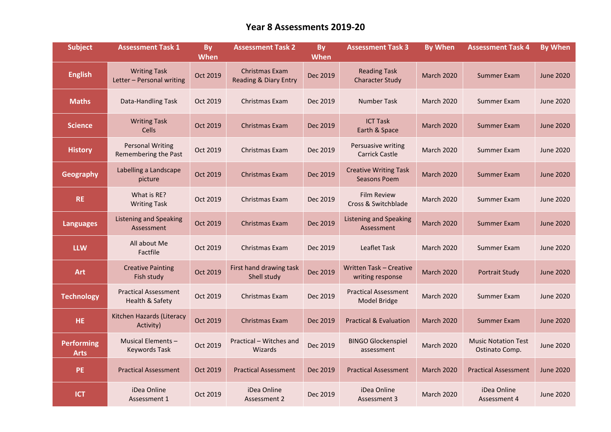## **Year 8 Assessments 2019-20**

| <b>Subject</b>                   | <b>Assessment Task 1</b>                         | By<br><b>When</b> | <b>Assessment Task 2</b>                | <b>By</b><br><b>When</b> | <b>Assessment Task 3</b>                            | <b>By When</b>    | <b>Assessment Task 4</b>                     | <b>By When</b>   |
|----------------------------------|--------------------------------------------------|-------------------|-----------------------------------------|--------------------------|-----------------------------------------------------|-------------------|----------------------------------------------|------------------|
| <b>English</b>                   | <b>Writing Task</b><br>Letter - Personal writing | Oct 2019          | Christmas Exam<br>Reading & Diary Entry | Dec 2019                 | <b>Reading Task</b><br><b>Character Study</b>       | <b>March 2020</b> | <b>Summer Exam</b>                           | <b>June 2020</b> |
| <b>Maths</b>                     | Data-Handling Task                               | Oct 2019          | Christmas Exam                          | Dec 2019                 | Number Task                                         | <b>March 2020</b> | Summer Exam                                  | <b>June 2020</b> |
| <b>Science</b>                   | <b>Writing Task</b><br><b>Cells</b>              | Oct 2019          | Christmas Exam                          | Dec 2019                 | <b>ICT Task</b><br>Earth & Space                    | <b>March 2020</b> | Summer Exam                                  | <b>June 2020</b> |
| <b>History</b>                   | <b>Personal Writing</b><br>Remembering the Past  | Oct 2019          | Christmas Exam                          | Dec 2019                 | Persuasive writing<br><b>Carrick Castle</b>         | <b>March 2020</b> | Summer Exam                                  | <b>June 2020</b> |
| <b>Geography</b>                 | Labelling a Landscape<br>picture                 | Oct 2019          | <b>Christmas Exam</b>                   | Dec 2019                 | <b>Creative Writing Task</b><br><b>Seasons Poem</b> | <b>March 2020</b> | <b>Summer Exam</b>                           | <b>June 2020</b> |
| <b>RE</b>                        | What is RE?<br><b>Writing Task</b>               | Oct 2019          | Christmas Exam                          | Dec 2019                 | <b>Film Review</b><br>Cross & Switchblade           | <b>March 2020</b> | Summer Exam                                  | <b>June 2020</b> |
| <b>Languages</b>                 | <b>Listening and Speaking</b><br>Assessment      | Oct 2019          | Christmas Exam                          | Dec 2019                 | <b>Listening and Speaking</b><br>Assessment         | <b>March 2020</b> | <b>Summer Exam</b>                           | <b>June 2020</b> |
| <b>LLW</b>                       | All about Me<br>Factfile                         | Oct 2019          | Christmas Exam                          | Dec 2019                 | <b>Leaflet Task</b>                                 | <b>March 2020</b> | Summer Exam                                  | <b>June 2020</b> |
| Art                              | <b>Creative Painting</b><br>Fish study           | Oct 2019          | First hand drawing task<br>Shell study  | Dec 2019                 | <b>Written Task - Creative</b><br>writing response  | <b>March 2020</b> | <b>Portrait Study</b>                        | <b>June 2020</b> |
| <b>Technology</b>                | <b>Practical Assessment</b><br>Health & Safety   | Oct 2019          | Christmas Exam                          | Dec 2019                 | <b>Practical Assessment</b><br>Model Bridge         | <b>March 2020</b> | Summer Exam                                  | <b>June 2020</b> |
| <b>HE</b>                        | Kitchen Hazards (Literacy<br>Activity)           | Oct 2019          | Christmas Exam                          | Dec 2019                 | <b>Practical &amp; Evaluation</b>                   | <b>March 2020</b> | <b>Summer Exam</b>                           | <b>June 2020</b> |
| <b>Performing</b><br><b>Arts</b> | Musical Elements-<br><b>Keywords Task</b>        | Oct 2019          | Practical - Witches and<br>Wizards      | Dec 2019                 | <b>BINGO Glockenspiel</b><br>assessment             | <b>March 2020</b> | <b>Music Notation Test</b><br>Ostinato Comp. | <b>June 2020</b> |
| PE                               | <b>Practical Assessment</b>                      | Oct 2019          | <b>Practical Assessment</b>             | Dec 2019                 | <b>Practical Assessment</b>                         | <b>March 2020</b> | <b>Practical Assessment</b>                  | <b>June 2020</b> |
| <b>ICT</b>                       | iDea Online<br>Assessment 1                      | Oct 2019          | iDea Online<br>Assessment 2             | Dec 2019                 | iDea Online<br>Assessment 3                         | <b>March 2020</b> | iDea Online<br>Assessment 4                  | <b>June 2020</b> |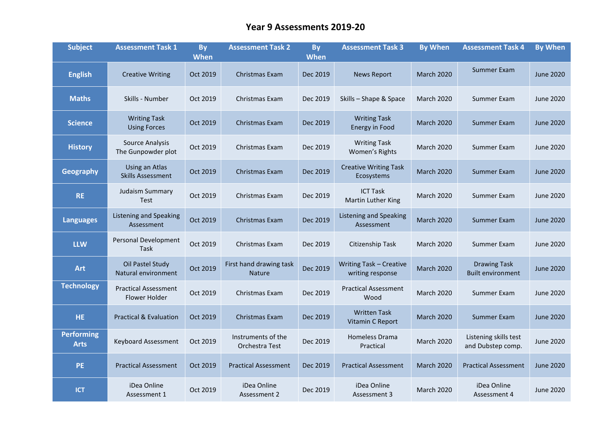## **Year 9 Assessments 2019-20**

| <b>Subject</b>                   | <b>Assessment Task 1</b>                     | <b>By</b><br><b>When</b> | <b>Assessment Task 2</b>                 | <b>By</b><br><b>When</b> | <b>Assessment Task 3</b>                           | <b>By When</b>    | <b>Assessment Task 4</b>                        | <b>By When</b>   |
|----------------------------------|----------------------------------------------|--------------------------|------------------------------------------|--------------------------|----------------------------------------------------|-------------------|-------------------------------------------------|------------------|
| <b>English</b>                   | <b>Creative Writing</b>                      | Oct 2019                 | Christmas Exam                           | Dec 2019                 | <b>News Report</b>                                 | <b>March 2020</b> | Summer Exam                                     | <b>June 2020</b> |
| <b>Maths</b>                     | Skills - Number                              | Oct 2019                 | Christmas Exam                           | Dec 2019                 | Skills - Shape & Space                             | <b>March 2020</b> | Summer Exam                                     | June 2020        |
| <b>Science</b>                   | <b>Writing Task</b><br><b>Using Forces</b>   | Oct 2019                 | Christmas Exam                           | Dec 2019                 | <b>Writing Task</b><br><b>Energy in Food</b>       | <b>March 2020</b> | Summer Exam                                     | <b>June 2020</b> |
| <b>History</b>                   | <b>Source Analysis</b><br>The Gunpowder plot | Oct 2019                 | Christmas Exam                           | Dec 2019                 | <b>Writing Task</b><br>Women's Rights              | <b>March 2020</b> | Summer Exam                                     | June 2020        |
| <b>Geography</b>                 | Using an Atlas<br><b>Skills Assessment</b>   | Oct 2019                 | Christmas Exam                           | Dec 2019                 | <b>Creative Writing Task</b><br>Ecosystems         | <b>March 2020</b> | Summer Exam                                     | June 2020        |
| <b>RE</b>                        | Judaism Summary<br><b>Test</b>               | Oct 2019                 | Christmas Exam                           | Dec 2019                 | <b>ICT Task</b><br>Martin Luther King              | <b>March 2020</b> | Summer Exam                                     | June 2020        |
| <b>Languages</b>                 | <b>Listening and Speaking</b><br>Assessment  | Oct 2019                 | Christmas Exam                           | Dec 2019                 | <b>Listening and Speaking</b><br>Assessment        | <b>March 2020</b> | <b>Summer Exam</b>                              | <b>June 2020</b> |
| <b>LLW</b>                       | <b>Personal Development</b><br>Task          | Oct 2019                 | Christmas Exam                           | Dec 2019                 | Citizenship Task                                   | <b>March 2020</b> | Summer Exam                                     | June 2020        |
| <b>Art</b>                       | Oil Pastel Study<br>Natural environment      | Oct 2019                 | First hand drawing task<br><b>Nature</b> | Dec 2019                 | <b>Writing Task - Creative</b><br>writing response | <b>March 2020</b> | <b>Drawing Task</b><br><b>Built environment</b> | <b>June 2020</b> |
| <b>Technology</b>                | <b>Practical Assessment</b><br>Flower Holder | Oct 2019                 | Christmas Exam                           | Dec 2019                 | <b>Practical Assessment</b><br>Wood                | <b>March 2020</b> | Summer Exam                                     | <b>June 2020</b> |
| HE.                              | <b>Practical &amp; Evaluation</b>            | Oct 2019                 | Christmas Exam                           | Dec 2019                 | <b>Written Task</b><br>Vitamin C Report            | <b>March 2020</b> | Summer Exam                                     | <b>June 2020</b> |
| <b>Performing</b><br><b>Arts</b> | Keyboard Assessment                          | Oct 2019                 | Instruments of the<br>Orchestra Test     | Dec 2019                 | Homeless Drama<br>Practical                        | <b>March 2020</b> | Listening skills test<br>and Dubstep comp.      | June 2020        |
| <b>PE</b>                        | <b>Practical Assessment</b>                  | Oct 2019                 | <b>Practical Assessment</b>              | Dec 2019                 | <b>Practical Assessment</b>                        | <b>March 2020</b> | <b>Practical Assessment</b>                     | <b>June 2020</b> |
| <b>ICT</b>                       | iDea Online<br>Assessment 1                  | Oct 2019                 | iDea Online<br>Assessment 2              | Dec 2019                 | iDea Online<br>Assessment 3                        | <b>March 2020</b> | iDea Online<br>Assessment 4                     | <b>June 2020</b> |